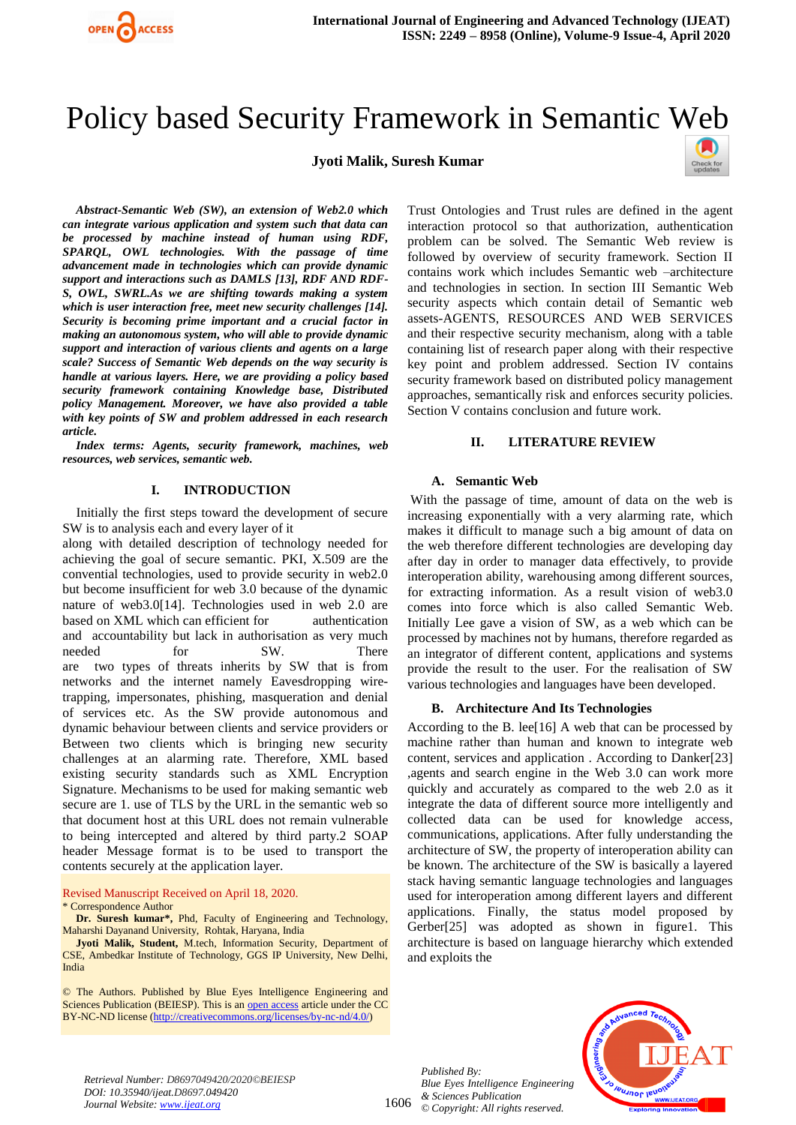

# Policy based Security Framework in Semantic Web

## **Jyoti Malik, Suresh Kumar**



*Abstract-Semantic Web (SW), an extension of Web2.0 which can integrate various application and system such that data can be processed by machine instead of human using RDF, SPARQL, OWL technologies. With the passage of time advancement made in technologies which can provide dynamic support and interactions such as DAMLS [13], RDF AND RDF-S, OWL, SWRL.As we are shifting towards making a system which is user interaction free, meet new security challenges [14]. Security is becoming prime important and a crucial factor in making an autonomous system, who will able to provide dynamic support and interaction of various clients and agents on a large scale? Success of Semantic Web depends on the way security is handle at various layers. Here, we are providing a policy based security framework containing Knowledge base, Distributed policy Management. Moreover, we have also provided a table with key points of SW and problem addressed in each research article.*

*Index terms: Agents, security framework, machines, web resources, web services, semantic web.* 

#### **I. INTRODUCTION**

Initially the first steps toward the development of secure SW is to analysis each and every layer of it

along with detailed description of technology needed for achieving the goal of secure semantic. PKI, X.509 are the convential technologies, used to provide security in web2.0 but become insufficient for web 3.0 because of the dynamic nature of web3.0[14]. Technologies used in web 2.0 are based on XML which can efficient for authentication and accountability but lack in authorisation as very much needed for SW. There are two types of threats inherits by SW that is from networks and the internet namely Eavesdropping wiretrapping, impersonates, phishing, masqueration and denial of services etc. As the SW provide autonomous and dynamic behaviour between clients and service providers or Between two clients which is bringing new security challenges at an alarming rate. Therefore, XML based existing security standards such as XML Encryption Signature. Mechanisms to be used for making semantic web secure are 1. use of TLS by the URL in the semantic web so that document host at this URL does not remain vulnerable to being intercepted and altered by third party.2 SOAP header Message format is to be used to transport the contents securely at the application layer.

#### Revised Manuscript Received on April 18, 2020. \* Correspondence Author

**Dr. Suresh kumar\*,** Phd, Faculty of Engineering and Technology, Maharshi Dayanand University, Rohtak, Haryana, India

**Jyoti Malik, Student,** M.tech, Information Security, Department of CSE, Ambedkar Institute of Technology, GGS IP University, New Delhi, India

© The Authors. Published by Blue Eyes Intelligence Engineering and Sciences Publication (BEIESP). This is a[n open access](https://www.openaccess.nl/en/open-publications) article under the CC BY-NC-ND license [\(http://creativecommons.org/licenses/by-nc-nd/4.0/\)](http://creativecommons.org/licenses/by-nc-nd/4.0/)

Trust Ontologies and Trust rules are defined in the agent interaction protocol so that authorization, authentication problem can be solved. The Semantic Web review is followed by overview of security framework. Section II contains work which includes Semantic web –architecture and technologies in section. In section III Semantic Web security aspects which contain detail of Semantic web assets-AGENTS, RESOURCES AND WEB SERVICES and their respective security mechanism, along with a table containing list of research paper along with their respective key point and problem addressed. Section IV contains security framework based on distributed policy management approaches, semantically risk and enforces security policies. Section V contains conclusion and future work.

#### **II. LITERATURE REVIEW**

#### **A. Semantic Web**

With the passage of time, amount of data on the web is increasing exponentially with a very alarming rate, which makes it difficult to manage such a big amount of data on the web therefore different technologies are developing day after day in order to manager data effectively, to provide interoperation ability, warehousing among different sources, for extracting information. As a result vision of web3.0 comes into force which is also called Semantic Web. Initially Lee gave a vision of SW, as a web which can be processed by machines not by humans, therefore regarded as an integrator of different content, applications and systems provide the result to the user. For the realisation of SW various technologies and languages have been developed.

#### **B. Architecture And Its Technologies**

According to the B. lee[16] A web that can be processed by machine rather than human and known to integrate web content, services and application . According to Danker[23] ,agents and search engine in the Web 3.0 can work more quickly and accurately as compared to the web 2.0 as it integrate the data of different source more intelligently and collected data can be used for knowledge access, communications, applications. After fully understanding the architecture of SW, the property of interoperation ability can be known. The architecture of the SW is basically a layered stack having semantic language technologies and languages used for interoperation among different layers and different applications. Finally, the status model proposed by Gerber[25] was adopted as shown in figure1. This architecture is based on language hierarchy which extended and exploits the

*Published By: Blue Eyes Intelligence Engineering & Sciences Publication © Copyright: All rights reserved.*



*Retrieval Number: D8697049420/2020©BEIESP DOI: 10.35940/ijeat.D8697.049420 Journal Website: www.ijeat.org*

1606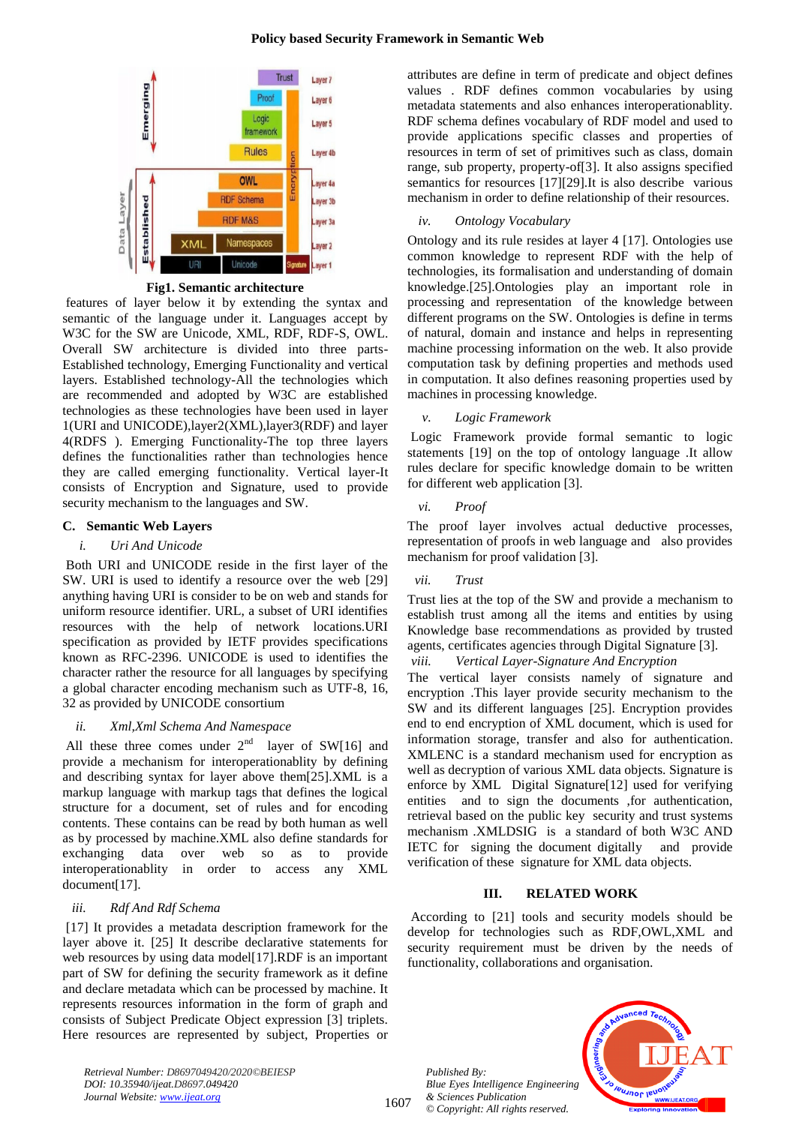## **Policy based Security Framework in Semantic Web**



**Fig1. Semantic architecture**

features of layer below it by extending the syntax and semantic of the language under it. Languages accept by W3C for the SW are Unicode, XML, RDF, RDF-S, OWL. Overall SW architecture is divided into three parts-Established technology, Emerging Functionality and vertical layers. Established technology-All the technologies which are recommended and adopted by W3C are established technologies as these technologies have been used in layer 1(URI and UNICODE),layer2(XML),layer3(RDF) and layer 4(RDFS ). Emerging Functionality-The top three layers defines the functionalities rather than technologies hence they are called emerging functionality. Vertical layer-It consists of Encryption and Signature, used to provide security mechanism to the languages and SW.

# **C. Semantic Web Layers**

# *i. Uri And Unicode*

Both URI and UNICODE reside in the first layer of the SW. URI is used to identify a resource over the web [29] anything having URI is consider to be on web and stands for uniform resource identifier. URL, a subset of URI identifies resources with the help of network locations.URI specification as provided by IETF provides specifications known as RFC-2396. UNICODE is used to identifies the character rather the resource for all languages by specifying a global character encoding mechanism such as UTF-8, 16, 32 as provided by UNICODE consortium

# *ii. Xml,Xml Schema And Namespace*

All these three comes under  $2<sup>nd</sup>$  layer of SW[16] and provide a mechanism for interoperationablity by defining and describing syntax for layer above them[25].XML is a markup language with markup tags that defines the logical structure for a document, set of rules and for encoding contents. These contains can be read by both human as well as by processed by machine.XML also define standards for exchanging data over web so as to provide interoperationablity in order to access any XML document[17].

# *iii. Rdf And Rdf Schema*

[17] It provides a metadata description framework for the layer above it. [25] It describe declarative statements for web resources by using data model [17]. RDF is an important part of SW for defining the security framework as it define and declare metadata which can be processed by machine. It represents resources information in the form of graph and consists of Subject Predicate Object expression [3] triplets. Here resources are represented by subject, Properties or

*Retrieval Number: D8697049420/2020©BEIESP DOI: 10.35940/ijeat.D8697.049420 Journal Website: www.ijeat.org*

attributes are define in term of predicate and object defines values . RDF defines common vocabularies by using metadata statements and also enhances interoperationablity. RDF schema defines vocabulary of RDF model and used to provide applications specific classes and properties of resources in term of set of primitives such as class, domain range, sub property, property-of[3]. It also assigns specified semantics for resources [17][29].It is also describe various mechanism in order to define relationship of their resources.

# *iv. Ontology Vocabulary*

Ontology and its rule resides at layer 4 [17]. Ontologies use common knowledge to represent RDF with the help of technologies, its formalisation and understanding of domain knowledge.[25].Ontologies play an important role in processing and representation of the knowledge between different programs on the SW. Ontologies is define in terms of natural, domain and instance and helps in representing machine processing information on the web. It also provide computation task by defining properties and methods used in computation. It also defines reasoning properties used by machines in processing knowledge.

# *v. Logic Framework*

Logic Framework provide formal semantic to logic statements [19] on the top of ontology language .It allow rules declare for specific knowledge domain to be written for different web application [3].

# *vi. Proof*

The proof layer involves actual deductive processes, representation of proofs in web language and also provides mechanism for proof validation [3].

# *vii. Trust*

Trust lies at the top of the SW and provide a mechanism to establish trust among all the items and entities by using Knowledge base recommendations as provided by trusted agents, certificates agencies through Digital Signature [3].

# *viii. Vertical Layer-Signature And Encryption*

The vertical layer consists namely of signature and encryption .This layer provide security mechanism to the SW and its different languages [25]. Encryption provides end to end encryption of XML document, which is used for information storage, transfer and also for authentication. XMLENC is a standard mechanism used for encryption as well as decryption of various XML data objects. Signature is enforce by XML Digital Signature[12] used for verifying entities and to sign the documents ,for authentication, retrieval based on the public key security and trust systems mechanism .XMLDSIG is a standard of both W3C AND IETC for signing the document digitally and provide verification of these signature for XML data objects.

# **III. RELATED WORK**

According to [21] tools and security models should be develop for technologies such as RDF,OWL,XML and security requirement must be driven by the needs of functionality, collaborations and organisation.

*Published By: Blue Eyes Intelligence Engineering & Sciences Publication © Copyright: All rights reserved.*



1607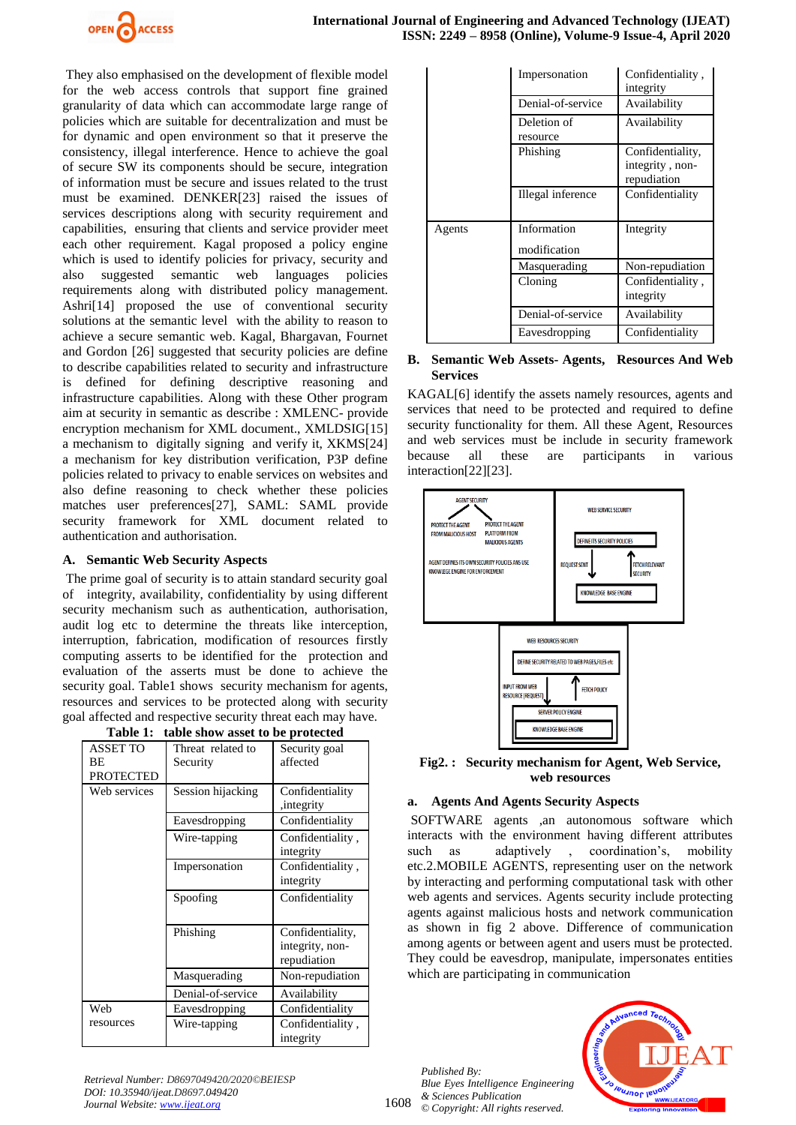

They also emphasised on the development of flexible model for the web access controls that support fine grained granularity of data which can accommodate large range of policies which are suitable for decentralization and must be for dynamic and open environment so that it preserve the consistency, illegal interference. Hence to achieve the goal of secure SW its components should be secure, integration of information must be secure and issues related to the trust must be examined. DENKER[23] raised the issues of services descriptions along with security requirement and capabilities, ensuring that clients and service provider meet each other requirement. Kagal proposed a policy engine which is used to identify policies for privacy, security and also suggested semantic web languages policies requirements along with distributed policy management. Ashri[14] proposed the use of conventional security solutions at the semantic level with the ability to reason to achieve a secure semantic web. Kagal, Bhargavan, Fournet and Gordon [26] suggested that security policies are define to describe capabilities related to security and infrastructure is defined for defining descriptive reasoning and infrastructure capabilities. Along with these Other program aim at security in semantic as describe : XMLENC- provide encryption mechanism for XML document., XMLDSIG[15] a mechanism to digitally signing and verify it, XKMS[24] a mechanism for key distribution verification, P3P define policies related to privacy to enable services on websites and also define reasoning to check whether these policies matches user preferences[27], SAML: SAML provide security framework for XML document related to authentication and authorisation.

## **A. Semantic Web Security Aspects**

The prime goal of security is to attain standard security goal of integrity, availability, confidentiality by using different security mechanism such as authentication, authorisation, audit log etc to determine the threats like interception, interruption, fabrication, modification of resources firstly computing asserts to be identified for the protection and evaluation of the asserts must be done to achieve the security goal. Table1 shows security mechanism for agents, resources and services to be protected along with security goal affected and respective security threat each may have.

| Table 1:<br>table show asset to be protected |                               |                                                    |  |
|----------------------------------------------|-------------------------------|----------------------------------------------------|--|
| <b>ASSET TO</b><br>ВE<br><b>PROTECTED</b>    | Threat related to<br>Security | Security goal<br>affected                          |  |
| Web services                                 | Session hijacking             | Confidentiality<br>, integrity                     |  |
|                                              | Eavesdropping                 | Confidentiality                                    |  |
|                                              | Wire-tapping                  | Confidentiality,<br>integrity                      |  |
|                                              | Impersonation                 | Confidentiality,<br>integrity                      |  |
|                                              | Spoofing                      | Confidentiality                                    |  |
|                                              | Phishing                      | Confidentiality,<br>integrity, non-<br>repudiation |  |
|                                              | Masquerading                  | Non-repudiation                                    |  |
|                                              | Denial-of-service             | Availability                                       |  |
| Web                                          | Eavesdropping                 | Confidentiality                                    |  |
| resources                                    | Wire-tapping                  | Confidentiality,<br>integrity                      |  |

|        | Impersonation               | Confidentiality,<br>integrity                      |
|--------|-----------------------------|----------------------------------------------------|
|        | Denial-of-service           | Availability                                       |
|        | Deletion of<br>resource     | Availability                                       |
|        | Phishing                    | Confidentiality,<br>integrity, non-<br>repudiation |
|        | Illegal inference           | Confidentiality                                    |
| Agents | Information<br>modification | Integrity                                          |
|        | Masquerading                | Non-repudiation                                    |
|        | Cloning                     | Confidentiality,<br>integrity                      |
|        | Denial-of-service           | Availability                                       |
|        | Eavesdropping               | Confidentiality                                    |

## **B. Semantic Web Assets- Agents, Resources And Web Services**

KAGAL[6] identify the assets namely resources, agents and services that need to be protected and required to define security functionality for them. All these Agent, Resources and web services must be include in security framework because all these are participants in various interaction[22][23].



**Fig2. : Security mechanism for Agent, Web Service, web resources**

# **a. Agents And Agents Security Aspects**

SOFTWARE agents ,an autonomous software which interacts with the environment having different attributes such as adaptively , coordination's, mobility etc.2.MOBILE AGENTS, representing user on the network by interacting and performing computational task with other web agents and services. Agents security include protecting agents against malicious hosts and network communication as shown in fig 2 above. Difference of communication among agents or between agent and users must be protected. They could be eavesdrop, manipulate, impersonates entities which are participating in communication

1608 *Published By: Blue Eyes Intelligence Engineering & Sciences Publication © Copyright: All rights reserved.*



*Retrieval Number: D8697049420/2020©BEIESP DOI: 10.35940/ijeat.D8697.049420 Journal Website: www.ijeat.org*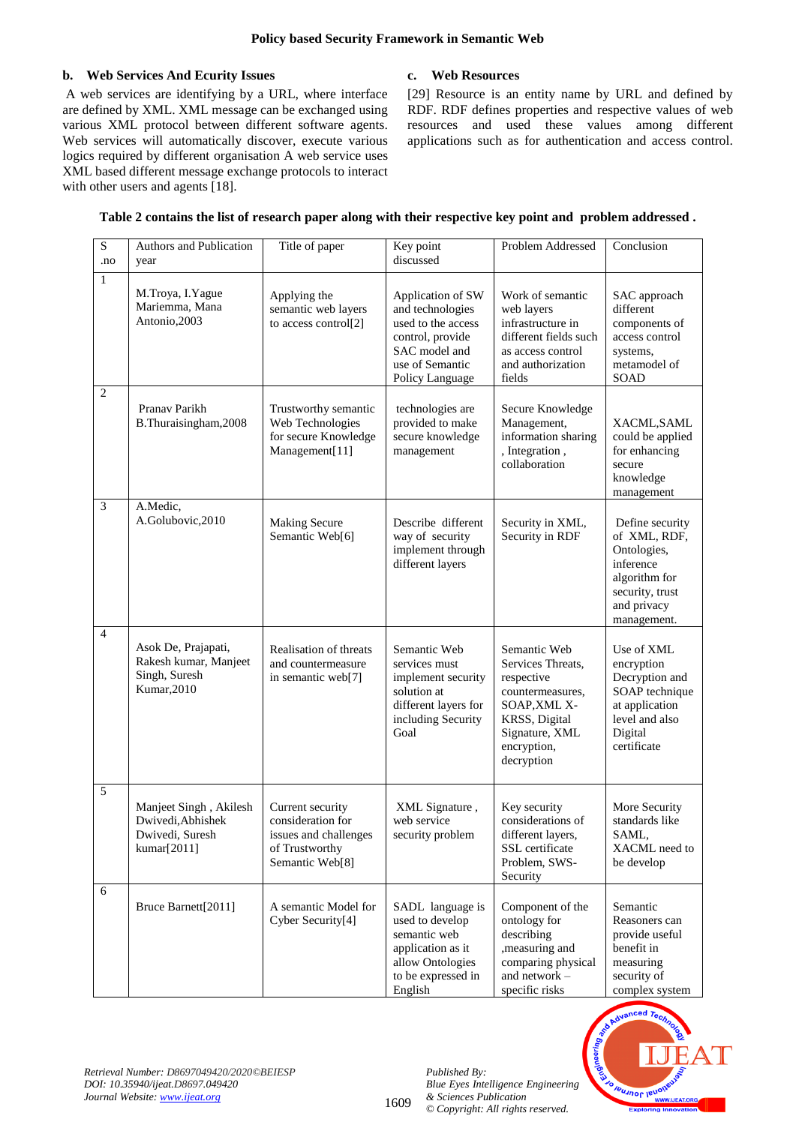# **b. Web Services And Ecurity Issues**

A web services are identifying by a URL, where interface are defined by XML. XML message can be exchanged using various XML protocol between different software agents. Web services will automatically discover, execute various logics required by different organisation A web service uses XML based different message exchange protocols to interact with other users and agents [18].

# **c. Web Resources**

[29] Resource is an entity name by URL and defined by RDF. RDF defines properties and respective values of web resources and used these values among different applications such as for authentication and access control.

| $\mathbf S$<br>.no | Authors and Publication<br>year                                               | Title of paper                                                                                      | Key point<br>discussed                                                                                                                 | Problem Addressed                                                                                                                                   | Conclusion                                                                                                                    |
|--------------------|-------------------------------------------------------------------------------|-----------------------------------------------------------------------------------------------------|----------------------------------------------------------------------------------------------------------------------------------------|-----------------------------------------------------------------------------------------------------------------------------------------------------|-------------------------------------------------------------------------------------------------------------------------------|
| $\mathbf{1}$       | M.Troya, I.Yague<br>Mariemma, Mana<br>Antonio,2003                            | Applying the<br>semantic web layers<br>to access control[2]                                         | Application of SW<br>and technologies<br>used to the access<br>control, provide<br>SAC model and<br>use of Semantic<br>Policy Language | Work of semantic<br>web layers<br>infrastructure in<br>different fields such<br>as access control<br>and authorization<br>fields                    | SAC approach<br>different<br>components of<br>access control<br>systems,<br>metamodel of<br>SOAD                              |
| $\overline{2}$     | Pranav Parikh<br>B.Thuraisingham,2008                                         | Trustworthy semantic<br>Web Technologies<br>for secure Knowledge<br>Management[11]                  | technologies are<br>provided to make<br>secure knowledge<br>management                                                                 | Secure Knowledge<br>Management,<br>information sharing<br>, Integration,<br>collaboration                                                           | XACML, SAML<br>could be applied<br>for enhancing<br>secure<br>knowledge<br>management                                         |
| 3                  | A.Medic,<br>A.Golubovic, 2010                                                 | <b>Making Secure</b><br>Semantic Web[6]                                                             | Describe different<br>way of security<br>implement through<br>different layers                                                         | Security in XML,<br>Security in RDF                                                                                                                 | Define security<br>of XML, RDF,<br>Ontologies,<br>inference<br>algorithm for<br>security, trust<br>and privacy<br>management. |
| $\overline{4}$     | Asok De, Prajapati,<br>Rakesh kumar, Manjeet<br>Singh, Suresh<br>Kumar, 2010  | Realisation of threats<br>and countermeasure<br>in semantic web[7]                                  | Semantic Web<br>services must<br>implement security<br>solution at<br>different layers for<br>including Security<br>Goal               | Semantic Web<br>Services Threats,<br>respective<br>countermeasures,<br>SOAP, XML X-<br>KRSS, Digital<br>Signature, XML<br>encryption,<br>decryption | Use of XML<br>encryption<br>Decryption and<br>SOAP technique<br>at application<br>level and also<br>Digital<br>certificate    |
| 5                  | Manjeet Singh, Akilesh<br>Dwivedi, Abhishek<br>Dwivedi, Suresh<br>kumar[2011] | Current security<br>consideration for<br>issues and challenges<br>of Trustworthy<br>Semantic Web[8] | XML Signature,<br>web service<br>security problem                                                                                      | Key security<br>considerations of<br>different layers,<br>SSL certificate<br>Problem, SWS-<br>Security                                              | More Security<br>standards like<br>SAML,<br>XACML need to<br>be develop                                                       |
| 6                  | Bruce Barnett[2011]                                                           | A semantic Model for<br>Cyber Security[4]                                                           | SADL language is<br>used to develop<br>semantic web<br>application as it<br>allow Ontologies<br>to be expressed in<br>English          | Component of the<br>ontology for<br>describing<br>, measuring and<br>comparing physical<br>and network -<br>specific risks                          | Semantic<br>Reasoners can<br>provide useful<br>benefit in<br>measuring<br>security of<br>complex system                       |

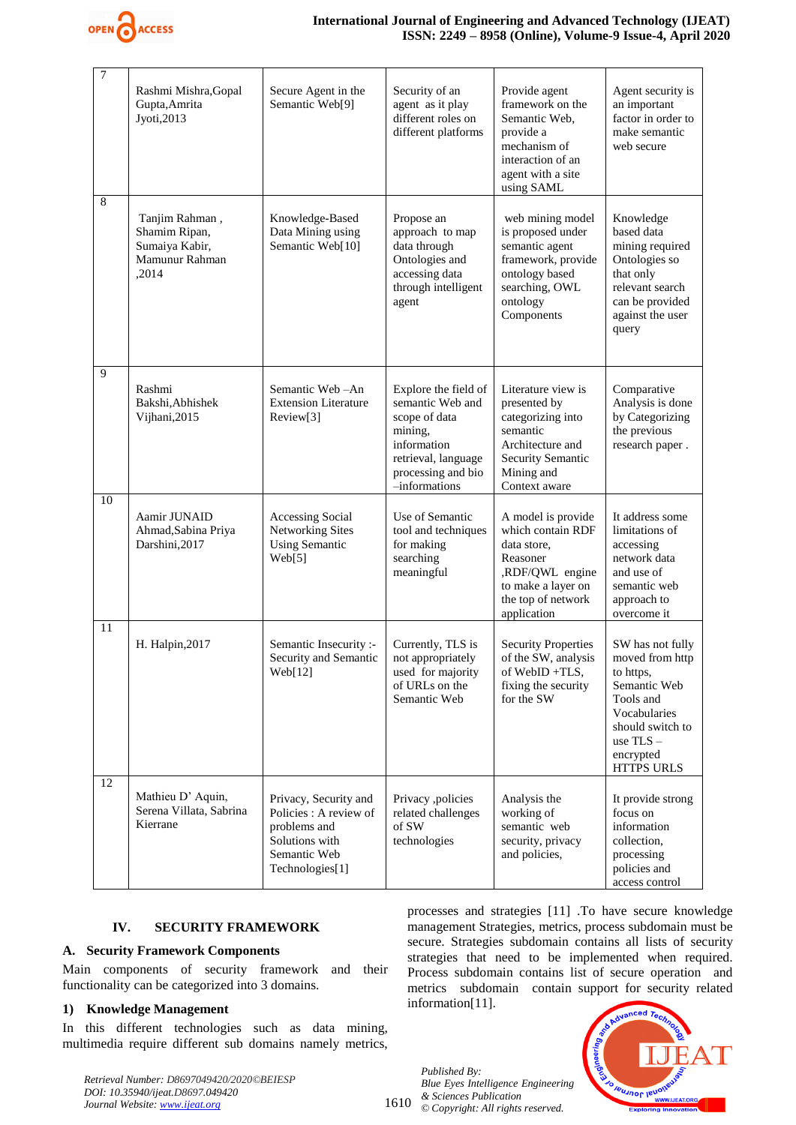

| 7  | Rashmi Mishra, Gopal<br>Gupta, Amrita<br>Jyoti, 2013                         | Secure Agent in the<br>Semantic Web[9]                                                                               | Security of an<br>agent as it play<br>different roles on<br>different platforms                                                                   | Provide agent<br>framework on the<br>Semantic Web,<br>provide a<br>mechanism of<br>interaction of an<br>agent with a site<br>using SAML          | Agent security is<br>an important<br>factor in order to<br>make semantic<br>web secure                                                                             |
|----|------------------------------------------------------------------------------|----------------------------------------------------------------------------------------------------------------------|---------------------------------------------------------------------------------------------------------------------------------------------------|--------------------------------------------------------------------------------------------------------------------------------------------------|--------------------------------------------------------------------------------------------------------------------------------------------------------------------|
| 8  | Tanjim Rahman,<br>Shamim Ripan,<br>Sumaiya Kabir,<br>Mamunur Rahman<br>,2014 | Knowledge-Based<br>Data Mining using<br>Semantic Web[10]                                                             | Propose an<br>approach to map<br>data through<br>Ontologies and<br>accessing data<br>through intelligent<br>agent                                 | web mining model<br>is proposed under<br>semantic agent<br>framework, provide<br>ontology based<br>searching, OWL<br>ontology<br>Components      | Knowledge<br>based data<br>mining required<br>Ontologies so<br>that only<br>relevant search<br>can be provided<br>against the user<br>query                        |
| 9  | Rashmi<br>Bakshi, Abhishek<br>Vijhani, 2015                                  | Semantic Web-An<br><b>Extension Literature</b><br>Review[3]                                                          | Explore the field of<br>semantic Web and<br>scope of data<br>mining,<br>information<br>retrieval, language<br>processing and bio<br>-informations | Literature view is<br>presented by<br>categorizing into<br>semantic<br>Architecture and<br>Security Semantic<br>Mining and<br>Context aware      | Comparative<br>Analysis is done<br>by Categorizing<br>the previous<br>research paper.                                                                              |
| 10 | Aamir JUNAID<br>Ahmad, Sabina Priya<br>Darshini, 2017                        | Accessing Social<br><b>Networking Sites</b><br><b>Using Semantic</b><br>Web[5]                                       | Use of Semantic<br>tool and techniques<br>for making<br>searching<br>meaningful                                                                   | A model is provide<br>which contain RDF<br>data store,<br>Reasoner<br>,RDF/QWL engine<br>to make a layer on<br>the top of network<br>application | It address some<br>limitations of<br>accessing<br>network data<br>and use of<br>semantic web<br>approach to<br>overcome it                                         |
| 11 | H. Halpin, 2017                                                              | Semantic Insecurity :-<br>Security and Semantic<br>Web[12]                                                           | Currently, TLS is<br>not appropriately<br>used for majority<br>of URLs on the<br>Semantic Web                                                     | <b>Security Properties</b><br>of the SW, analysis<br>of WebID+TLS,<br>fixing the security<br>for the SW                                          | SW has not fully<br>moved from http<br>to https,<br>Semantic Web<br>Tools and<br>Vocabularies<br>should switch to<br>use $TLS -$<br>encrypted<br><b>HTTPS URLS</b> |
| 12 | Mathieu D' Aquin,<br>Serena Villata, Sabrina<br>Kierrane                     | Privacy, Security and<br>Policies : A review of<br>problems and<br>Solutions with<br>Semantic Web<br>Technologies[1] | Privacy ,policies<br>related challenges<br>of SW<br>technologies                                                                                  | Analysis the<br>working of<br>semantic web<br>security, privacy<br>and policies,                                                                 | It provide strong<br>focus on<br>information<br>collection,<br>processing<br>policies and<br>access control                                                        |

## **IV. SECURITY FRAMEWORK**

## **A. Security Framework Components**

Main components of security framework and their functionality can be categorized into 3 domains.

## **1) Knowledge Management**

In this different technologies such as data mining, multimedia require different sub domains namely metrics,

*Retrieval Number: D8697049420/2020©BEIESP DOI: 10.35940/ijeat.D8697.049420 Journal Website: www.ijeat.org*

processes and strategies [11] .To have secure knowledge management Strategies, metrics, process subdomain must be secure. Strategies subdomain contains all lists of security strategies that need to be implemented when required. Process subdomain contains list of secure operation and metrics subdomain contain support for security related information[11].

1610 *Published By: Blue Eyes Intelligence Engineering & Sciences Publication © Copyright: All rights reserved.*

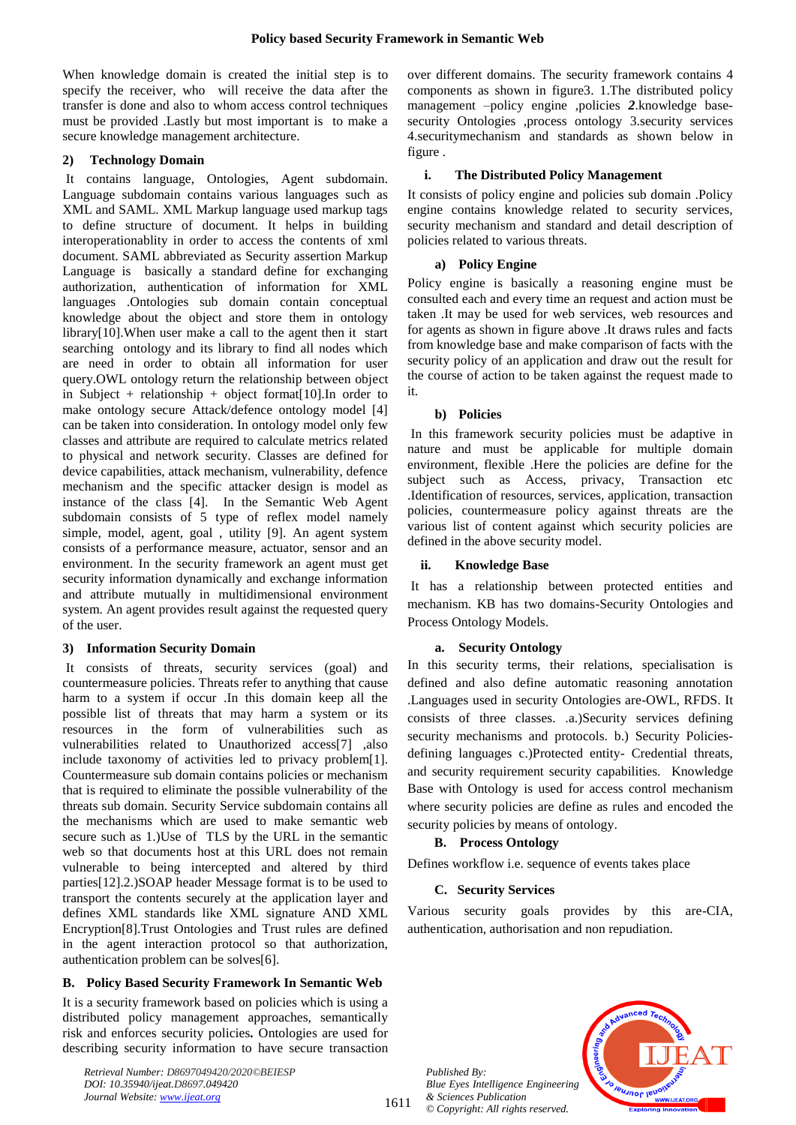When knowledge domain is created the initial step is to specify the receiver, who will receive the data after the transfer is done and also to whom access control techniques must be provided .Lastly but most important is to make a secure knowledge management architecture.

## **2) Technology Domain**

It contains language, Ontologies, Agent subdomain. Language subdomain contains various languages such as XML and SAML. XML Markup language used markup tags to define structure of document. It helps in building interoperationablity in order to access the contents of xml document. SAML abbreviated as Security assertion Markup Language is basically a standard define for exchanging authorization, authentication of information for XML languages .Ontologies sub domain contain conceptual knowledge about the object and store them in ontology library[10].When user make a call to the agent then it start searching ontology and its library to find all nodes which are need in order to obtain all information for user query.OWL ontology return the relationship between object in Subject + relationship + object format[10].In order to make ontology secure Attack/defence ontology model [4] can be taken into consideration. In ontology model only few classes and attribute are required to calculate metrics related to physical and network security. Classes are defined for device capabilities, attack mechanism, vulnerability, defence mechanism and the specific attacker design is model as instance of the class [4]. In the Semantic Web Agent subdomain consists of 5 type of reflex model namely simple, model, agent, goal , utility [9]. An agent system consists of a performance measure, actuator, sensor and an environment. In the security framework an agent must get security information dynamically and exchange information and attribute mutually in multidimensional environment system. An agent provides result against the requested query of the user.

# **3) Information Security Domain**

It consists of threats, security services (goal) and countermeasure policies. Threats refer to anything that cause harm to a system if occur .In this domain keep all the possible list of threats that may harm a system or its resources in the form of vulnerabilities such as vulnerabilities related to Unauthorized access[7] ,also include taxonomy of activities led to privacy problem[1]. Countermeasure sub domain contains policies or mechanism that is required to eliminate the possible vulnerability of the threats sub domain. Security Service subdomain contains all the mechanisms which are used to make semantic web secure such as 1.)Use of TLS by the URL in the semantic web so that documents host at this URL does not remain vulnerable to being intercepted and altered by third parties[12].2.)SOAP header Message format is to be used to transport the contents securely at the application layer and defines XML standards like XML signature AND XML Encryption[8].Trust Ontologies and Trust rules are defined in the agent interaction protocol so that authorization, authentication problem can be solves[6].

# **B. Policy Based Security Framework In Semantic Web**

It is a security framework based on policies which is using a distributed policy management approaches, semantically risk and enforces security policies*.* Ontologies are used for describing security information to have secure transaction

*Retrieval Number: D8697049420/2020©BEIESP DOI: 10.35940/ijeat.D8697.049420 Journal Website: www.ijeat.org*

over different domains. The security framework contains 4 components as shown in figure3. 1.The distributed policy management –policy engine ,policies *2*.knowledge basesecurity Ontologies ,process ontology 3.security services 4.securitymechanism and standards as shown below in figure .

## **i. The Distributed Policy Management**

It consists of policy engine and policies sub domain .Policy engine contains knowledge related to security services, security mechanism and standard and detail description of policies related to various threats.

## **a) Policy Engine**

Policy engine is basically a reasoning engine must be consulted each and every time an request and action must be taken .It may be used for web services, web resources and for agents as shown in figure above .It draws rules and facts from knowledge base and make comparison of facts with the security policy of an application and draw out the result for the course of action to be taken against the request made to it.

## **b) Policies**

In this framework security policies must be adaptive in nature and must be applicable for multiple domain environment, flexible .Here the policies are define for the subject such as Access, privacy, Transaction etc .Identification of resources, services, application, transaction policies, countermeasure policy against threats are the various list of content against which security policies are defined in the above security model.

## **ii. Knowledge Base**

It has a relationship between protected entities and mechanism. KB has two domains-Security Ontologies and Process Ontology Models.

## **a. Security Ontology**

In this security terms, their relations, specialisation is defined and also define automatic reasoning annotation .Languages used in security Ontologies are-OWL, RFDS. It consists of three classes. .a.)Security services defining security mechanisms and protocols. b.) Security Policiesdefining languages c.)Protected entity- Credential threats, and security requirement security capabilities. Knowledge Base with Ontology is used for access control mechanism where security policies are define as rules and encoded the security policies by means of ontology.

# **B. Process Ontology**

Defines workflow i.e. sequence of events takes place

## **C. Security Services**

Various security goals provides by this are-CIA, authentication, authorisation and non repudiation.

*Published By: Blue Eyes Intelligence Engineering & Sciences Publication © Copyright: All rights reserved.*



1611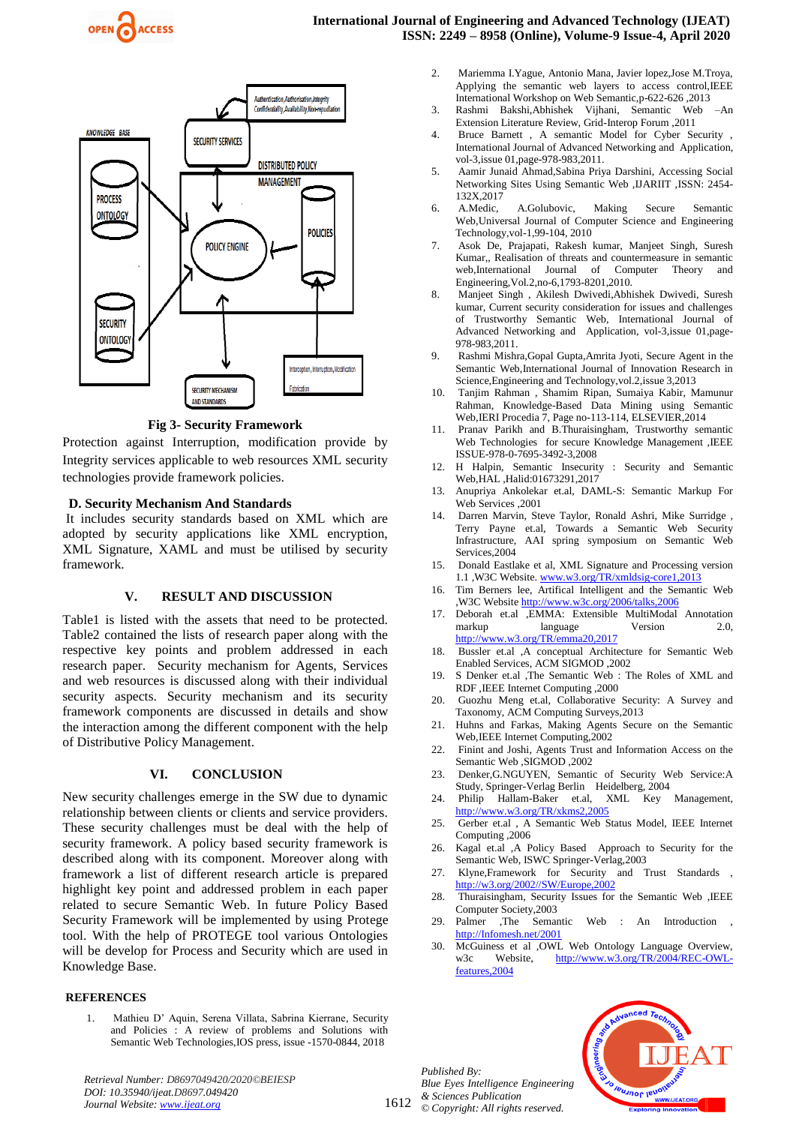



**Fig 3- Security Framework**

Protection against Interruption, modification provide by Integrity services applicable to web resources XML security technologies provide framework policies.

# **D. Security Mechanism And Standards**

It includes security standards based on XML which are adopted by security applications like XML encryption, XML Signature, XAML and must be utilised by security framework.

## **V. RESULT AND DISCUSSION**

Table1 is listed with the assets that need to be protected. Table2 contained the lists of research paper along with the respective key points and problem addressed in each research paper. Security mechanism for Agents, Services and web resources is discussed along with their individual security aspects. Security mechanism and its security framework components are discussed in details and show the interaction among the different component with the help of Distributive Policy Management.

# **VI. CONCLUSION**

New security challenges emerge in the SW due to dynamic relationship between clients or clients and service providers. These security challenges must be deal with the help of security framework. A policy based security framework is described along with its component. Moreover along with framework a list of different research article is prepared highlight key point and addressed problem in each paper related to secure Semantic Web. In future Policy Based Security Framework will be implemented by using Protege tool. With the help of PROTEGE tool various Ontologies will be develop for Process and Security which are used in Knowledge Base.

## **REFERENCES**

1. Mathieu D' Aquin, Serena Villata, Sabrina Kierrane, Security and Policies : A review of problems and Solutions with Semantic Web Technologies,IOS press, issue -1570-0844, 2018

- 2. Mariemma I.Yague, Antonio Mana, Javier lopez,Jose M.Troya, Applying the semantic web layers to access control, IEEE International Workshop on Web Semantic,p-622-626 ,2013
- 3. Rashmi Bakshi,Abhishek Vijhani, Semantic Web –An Extension Literature Review, Grid-Interop Forum ,2011
- 4. Bruce Barnett , A semantic Model for Cyber Security , International Journal of Advanced Networking and Application, vol-3,issue 01,page-978-983,2011.
- 5. Aamir Junaid Ahmad,Sabina Priya Darshini, Accessing Social Networking Sites Using Semantic Web ,IJARIIT ,ISSN: 2454- 132X,2017
- 6. A.Medic, A.Golubovic, Making Secure Semantic Web,Universal Journal of Computer Science and Engineering Technology,vol-1,99-104, 2010
- 7. Asok De, Prajapati, Rakesh kumar, Manjeet Singh, Suresh Kumar,, Realisation of threats and countermeasure in semantic<br>web.International Journal of Computer Theory and web,International Journal of Computer Theory and Engineering,Vol.2,no-6,1793-8201,2010.
- 8. Manjeet Singh , Akilesh Dwivedi,Abhishek Dwivedi, Suresh kumar, Current security consideration for issues and challenges of Trustworthy Semantic Web, International Journal of Advanced Networking and Application, vol-3,issue 01,page-978-983,2011.
- 9. Rashmi Mishra,Gopal Gupta,Amrita Jyoti, Secure Agent in the Semantic Web,International Journal of Innovation Research in Science,Engineering and Technology,vol.2,issue 3,2013
- 10. Tanjim Rahman , Shamim Ripan, Sumaiya Kabir, Mamunur Rahman, Knowledge-Based Data Mining using Semantic Web,IERI Procedia 7, Page no-113-114, ELSEVIER,2014
- 11. Pranav Parikh and B.Thuraisingham, Trustworthy semantic Web Technologies for secure Knowledge Management ,IEEE ISSUE-978-0-7695-3492-3,2008
- 12. H Halpin, Semantic Insecurity : Security and Semantic Web,HAL ,Halid:01673291,2017
- 13. Anupriya Ankolekar et.al, DAML-S: Semantic Markup For Web Services 2001
- 14. Darren Marvin, Steve Taylor, Ronald Ashri, Mike Surridge , Terry Payne et.al, Towards a Semantic Web Security Infrastructure, AAI spring symposium on Semantic Web Services, 2004
- 15. Donald Eastlake et al, XML Signature and Processing version 1.1 ,W3C Website. [www.w3.org/TR/xmldsig-core1,2013](http://www.w3.org/TR/xmldsig-core1,2013)
- 16. Tim Berners lee, Artifical Intelligent and the Semantic Web ,W3C Websit[e http://www.w3c.org/2006/talks,2006](http://www.w3c.org/2006/talks,2006)
- 17. Deborah et.al ,EMMA: Extensible MultiModal Annotation markup language Version 2.0, <http://www.w3.org/TR/emma20,2017>
- 18. Bussler et.al ,A conceptual Architecture for Semantic Web Enabled Services, ACM SIGMOD ,2002
- 19. S Denker et.al ,The Semantic Web : The Roles of XML and RDF ,IEEE Internet Computing ,2000
- 20. Guozhu Meng et.al, Collaborative Security: A Survey and Taxonomy, ACM Computing Surveys,2013
- 21. Huhns and Farkas, Making Agents Secure on the Semantic Web,IEEE Internet Computing,2002
- 22. Finint and Joshi, Agents Trust and Information Access on the Semantic Web ,SIGMOD ,2002
- 23. Denker,G.NGUYEN, Semantic of Security Web Service:A Study, Springer-Verlag Berlin Heidelberg, 2004
- 24. Philip Hallam-Baker et.al, XML Key Management, <http://www.w3.org/TR/xkms2,2005>
- 25. Gerber et.al , A Semantic Web Status Model, IEEE Internet Computing ,2006
- 26. Kagal et.al ,A Policy Based Approach to Security for the Semantic Web, ISWC Springer-Verlag,2003
- 27. Klyne,Framework for Security and Trust Standards , [http://w3.org/2002//SW/Europe,2002](http://w3.org/2002/SW/Europe,2002)
- 28. Thuraisingham, Security Issues for the Semantic Web ,IEEE Computer Society,2003
- 29. Palmer ,The Semantic Web : An Introduction , [http://Infomesh.net/2001](http://infomesh.net/2001)
- 30. McGuiness et al ,OWL Web Ontology Language Overview, w3c Website, [http://www.w3.org/TR/2004/REC-OWL](http://www.w3.org/TR/2004/REC-OWL-features,2004)[features,2004](http://www.w3.org/TR/2004/REC-OWL-features,2004)

1612 *Published By: Blue Eyes Intelligence Engineering & Sciences Publication © Copyright: All rights reserved.*



*Retrieval Number: D8697049420/2020©BEIESP DOI: 10.35940/ijeat.D8697.049420 Journal Website: www.ijeat.org*